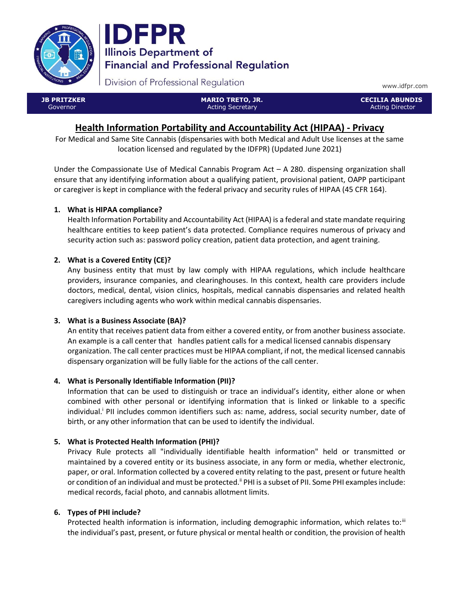



Division of Professional Regulation

www.idfpr.com

| <b>JB PRITZKER</b> |  |
|--------------------|--|
| Governor           |  |

 MARIO TRETO, JR. Acting Secretary

 CECILIA ABUNDIS Acting Director

# Health Information Portability and Accountability Act (HIPAA) - Privacy

For Medical and Same Site Cannabis (dispensaries with both Medical and Adult Use licenses at the same location licensed and regulated by the IDFPR) (Updated June 2021)

Under the Compassionate Use of Medical Cannabis Program Act – A 280. dispensing organization shall ensure that any identifying information about a qualifying patient, provisional patient, OAPP participant or caregiver is kept in compliance with the federal privacy and security rules of HIPAA (45 CFR 164).

# 1. What is HIPAA compliance?

Health Information Portability and Accountability Act (HIPAA) is a federal and state mandate requiring healthcare entities to keep patient's data protected. Compliance requires numerous of privacy and security action such as: password policy creation, patient data protection, and agent training.

# 2. What is a Covered Entity (CE)?

Any business entity that must by law comply with HIPAA regulations, which include healthcare providers, insurance companies, and clearinghouses. In this context, health care providers include doctors, medical, dental, vision clinics, hospitals, medical cannabis dispensaries and related health caregivers including agents who work within medical cannabis dispensaries.

# 3. What is a Business Associate (BA)?

An entity that receives patient data from either a covered entity, or from another business associate. An example is a call center that handles patient calls for a medical licensed cannabis dispensary organization. The call center practices must be HIPAA compliant, if not, the medical licensed cannabis dispensary organization will be fully liable for the actions of the call center.

# 4. What is Personally Identifiable Information (PII)?

Information that can be used to distinguish or trace an individual's identity, either alone or when combined with other personal or identifying information that is linked or linkable to a specific individual.<sup>i</sup> PII includes common identifiers such as: name, address, social security number, date of birth, or any other information that can be used to identify the individual.

# 5. What is Protected Health Information (PHI)?

Privacy Rule protects all "individually identifiable health information" held or transmitted or maintained by a covered entity or its business associate, in any form or media, whether electronic, paper, or oral. Information collected by a covered entity relating to the past, present or future health or condition of an individual and must be protected.<sup>"</sup> PHI is a subset of PII. Some PHI examples include: medical records, facial photo, and cannabis allotment limits.

# 6. Types of PHI include?

Protected health information is information, including demographic information, which relates to:<sup>iii</sup> the individual's past, present, or future physical or mental health or condition, the provision of health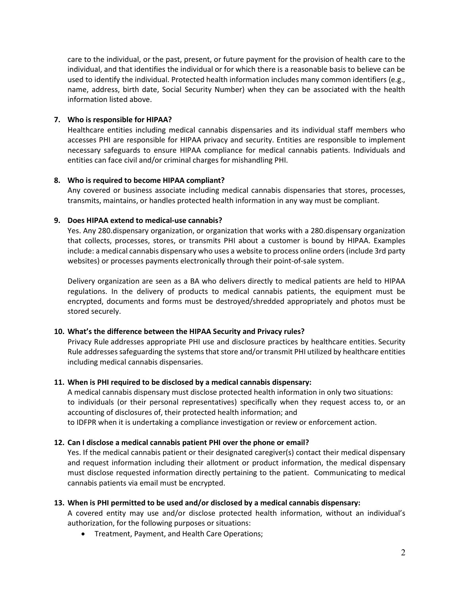care to the individual, or the past, present, or future payment for the provision of health care to the individual, and that identifies the individual or for which there is a reasonable basis to believe can be used to identify the individual. Protected health information includes many common identifiers (e.g., name, address, birth date, Social Security Number) when they can be associated with the health information listed above.

#### 7. Who is responsible for HIPAA?

Healthcare entities including medical cannabis dispensaries and its individual staff members who accesses PHI are responsible for HIPAA privacy and security. Entities are responsible to implement necessary safeguards to ensure HIPAA compliance for medical cannabis patients. Individuals and entities can face civil and/or criminal charges for mishandling PHI.

### 8. Who is required to become HIPAA compliant?

Any covered or business associate including medical cannabis dispensaries that stores, processes, transmits, maintains, or handles protected health information in any way must be compliant.

### 9. Does HIPAA extend to medical-use cannabis?

Yes. Any 280.dispensary organization, or organization that works with a 280.dispensary organization that collects, processes, stores, or transmits PHI about a customer is bound by HIPAA. Examples include: a medical cannabis dispensary who uses a website to process online orders (include 3rd party websites) or processes payments electronically through their point-of-sale system.

Delivery organization are seen as a BA who delivers directly to medical patients are held to HIPAA regulations. In the delivery of products to medical cannabis patients, the equipment must be encrypted, documents and forms must be destroyed/shredded appropriately and photos must be stored securely.

# 10. What's the difference between the HIPAA Security and Privacy rules?

Privacy Rule addresses appropriate PHI use and disclosure practices by healthcare entities. Security Rule addresses safeguarding the systems that store and/or transmit PHI utilized by healthcare entities including medical cannabis dispensaries.

# 11. When is PHI required to be disclosed by a medical cannabis dispensary:

A medical cannabis dispensary must disclose protected health information in only two situations: to individuals (or their personal representatives) specifically when they request access to, or an accounting of disclosures of, their protected health information; and to IDFPR when it is undertaking a compliance investigation or review or enforcement action.

# 12. Can I disclose a medical cannabis patient PHI over the phone or email?

Yes. If the medical cannabis patient or their designated caregiver(s) contact their medical dispensary and request information including their allotment or product information, the medical dispensary must disclose requested information directly pertaining to the patient. Communicating to medical cannabis patients via email must be encrypted.

# 13. When is PHI permitted to be used and/or disclosed by a medical cannabis dispensary:

A covered entity may use and/or disclose protected health information, without an individual's authorization, for the following purposes or situations:

Treatment, Payment, and Health Care Operations;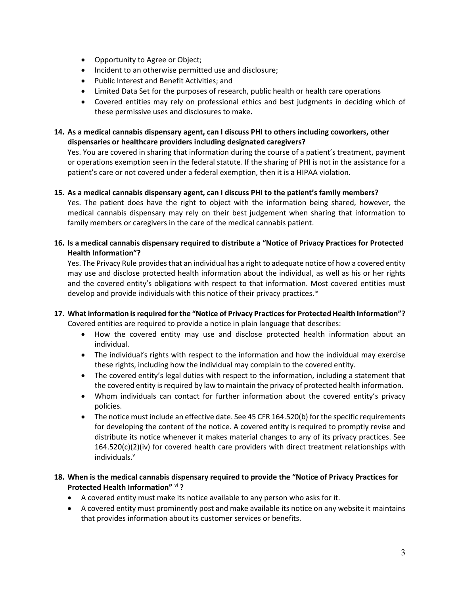- Opportunity to Agree or Object;
- Incident to an otherwise permitted use and disclosure;
- Public Interest and Benefit Activities; and
- Limited Data Set for the purposes of research, public health or health care operations
- Covered entities may rely on professional ethics and best judgments in deciding which of these permissive uses and disclosures to make.

### 14. As a medical cannabis dispensary agent, can I discuss PHI to others including coworkers, other dispensaries or healthcare providers including designated caregivers?

Yes. You are covered in sharing that information during the course of a patient's treatment, payment or operations exemption seen in the federal statute. If the sharing of PHI is not in the assistance for a patient's care or not covered under a federal exemption, then it is a HIPAA violation.

#### 15. As a medical cannabis dispensary agent, can I discuss PHI to the patient's family members?

Yes. The patient does have the right to object with the information being shared, however, the medical cannabis dispensary may rely on their best judgement when sharing that information to family members or caregivers in the care of the medical cannabis patient.

### 16. Is a medical cannabis dispensary required to distribute a "Notice of Privacy Practices for Protected Health Information"?

Yes. The Privacy Rule provides that an individual has a right to adequate notice of how a covered entity may use and disclose protected health information about the individual, as well as his or her rights and the covered entity's obligations with respect to that information. Most covered entities must develop and provide individuals with this notice of their privacy practices.<sup>iv</sup>

### 17. What information is required for the "Notice of Privacy Practices for Protected Health Information"? Covered entities are required to provide a notice in plain language that describes:

- How the covered entity may use and disclose protected health information about an individual.
- The individual's rights with respect to the information and how the individual may exercise these rights, including how the individual may complain to the covered entity.
- The covered entity's legal duties with respect to the information, including a statement that the covered entity is required by law to maintain the privacy of protected health information.
- Whom individuals can contact for further information about the covered entity's privacy policies.
- The notice must include an effective date. See 45 CFR 164.520(b) for the specific requirements for developing the content of the notice. A covered entity is required to promptly revise and distribute its notice whenever it makes material changes to any of its privacy practices. See  $164.520(c)(2)(iv)$  for covered health care providers with direct treatment relationships with  $individuals.$ <sup>v</sup>

### 18. When is the medical cannabis dispensary required to provide the "Notice of Privacy Practices for Protected Health Information" vi?

- A covered entity must make its notice available to any person who asks for it.
- A covered entity must prominently post and make available its notice on any website it maintains that provides information about its customer services or benefits.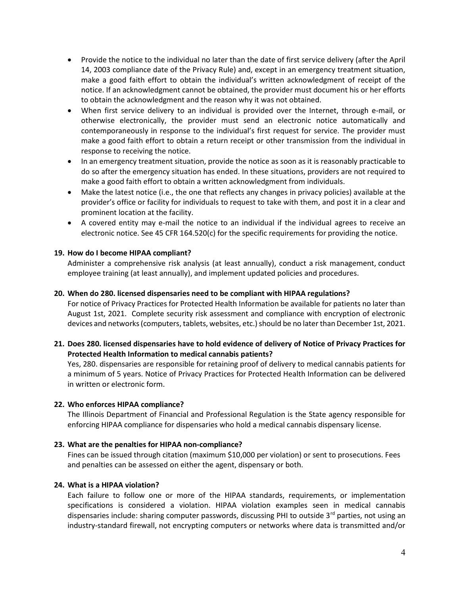- Provide the notice to the individual no later than the date of first service delivery (after the April 14, 2003 compliance date of the Privacy Rule) and, except in an emergency treatment situation, make a good faith effort to obtain the individual's written acknowledgment of receipt of the notice. If an acknowledgment cannot be obtained, the provider must document his or her efforts to obtain the acknowledgment and the reason why it was not obtained.
- When first service delivery to an individual is provided over the Internet, through e-mail, or otherwise electronically, the provider must send an electronic notice automatically and contemporaneously in response to the individual's first request for service. The provider must make a good faith effort to obtain a return receipt or other transmission from the individual in response to receiving the notice.
- In an emergency treatment situation, provide the notice as soon as it is reasonably practicable to do so after the emergency situation has ended. In these situations, providers are not required to make a good faith effort to obtain a written acknowledgment from individuals.
- Make the latest notice (i.e., the one that reflects any changes in privacy policies) available at the provider's office or facility for individuals to request to take with them, and post it in a clear and prominent location at the facility.
- A covered entity may e-mail the notice to an individual if the individual agrees to receive an electronic notice. See 45 CFR 164.520(c) for the specific requirements for providing the notice.

# 19. How do I become HIPAA compliant?

Administer a comprehensive risk analysis (at least annually), conduct a risk management, conduct employee training (at least annually), and implement updated policies and procedures.

#### 20. When do 280. licensed dispensaries need to be compliant with HIPAA regulations?

For notice of Privacy Practices for Protected Health Information be available for patients no later than August 1st, 2021. Complete security risk assessment and compliance with encryption of electronic devices and networks (computers, tablets, websites, etc.) should be no later than December 1st, 2021.

### 21. Does 280. licensed dispensaries have to hold evidence of delivery of Notice of Privacy Practices for Protected Health Information to medical cannabis patients?

Yes, 280. dispensaries are responsible for retaining proof of delivery to medical cannabis patients for a minimum of 5 years. Notice of Privacy Practices for Protected Health Information can be delivered in written or electronic form.

#### 22. Who enforces HIPAA compliance?

The Illinois Department of Financial and Professional Regulation is the State agency responsible for enforcing HIPAA compliance for dispensaries who hold a medical cannabis dispensary license.

#### 23. What are the penalties for HIPAA non-compliance?

Fines can be issued through citation (maximum \$10,000 per violation) or sent to prosecutions. Fees and penalties can be assessed on either the agent, dispensary or both.

#### 24. What is a HIPAA violation?

Each failure to follow one or more of the HIPAA standards, requirements, or implementation specifications is considered a violation. HIPAA violation examples seen in medical cannabis dispensaries include: sharing computer passwords, discussing PHI to outside 3<sup>rd</sup> parties, not using an industry-standard firewall, not encrypting computers or networks where data is transmitted and/or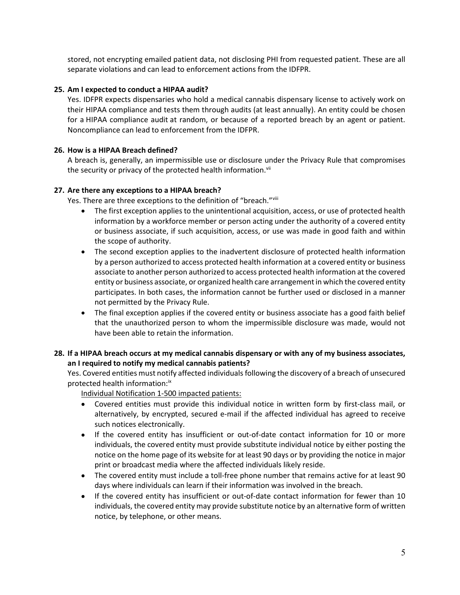stored, not encrypting emailed patient data, not disclosing PHI from requested patient. These are all separate violations and can lead to enforcement actions from the IDFPR.

### 25. Am I expected to conduct a HIPAA audit?

Yes. IDFPR expects dispensaries who hold a medical cannabis dispensary license to actively work on their HIPAA compliance and tests them through audits (at least annually). An entity could be chosen for a HIPAA compliance audit at random, or because of a reported breach by an agent or patient. Noncompliance can lead to enforcement from the IDFPR.

### 26. How is a HIPAA Breach defined?

A breach is, generally, an impermissible use or disclosure under the Privacy Rule that compromises the security or privacy of the protected health information.<sup>vii</sup>

### 27. Are there any exceptions to a HIPAA breach?

Yes. There are three exceptions to the definition of "breach."Vill

- The first exception applies to the unintentional acquisition, access, or use of protected health information by a workforce member or person acting under the authority of a covered entity or business associate, if such acquisition, access, or use was made in good faith and within the scope of authority.
- The second exception applies to the inadvertent disclosure of protected health information by a person authorized to access protected health information at a covered entity or business associate to another person authorized to access protected health information at the covered entity or business associate, or organized health care arrangement in which the covered entity participates. In both cases, the information cannot be further used or disclosed in a manner not permitted by the Privacy Rule.
- The final exception applies if the covered entity or business associate has a good faith belief that the unauthorized person to whom the impermissible disclosure was made, would not have been able to retain the information.

### 28. If a HIPAA breach occurs at my medical cannabis dispensary or with any of my business associates, an I required to notify my medical cannabis patients?

Yes. Covered entities must notify affected individuals following the discovery of a breach of unsecured protected health information:<sup>ix</sup>

Individual Notification 1-500 impacted patients:

- Covered entities must provide this individual notice in written form by first-class mail, or alternatively, by encrypted, secured e-mail if the affected individual has agreed to receive such notices electronically.
- If the covered entity has insufficient or out-of-date contact information for 10 or more individuals, the covered entity must provide substitute individual notice by either posting the notice on the home page of its website for at least 90 days or by providing the notice in major print or broadcast media where the affected individuals likely reside.
- The covered entity must include a toll-free phone number that remains active for at least 90 days where individuals can learn if their information was involved in the breach.
- If the covered entity has insufficient or out-of-date contact information for fewer than 10 individuals, the covered entity may provide substitute notice by an alternative form of written notice, by telephone, or other means.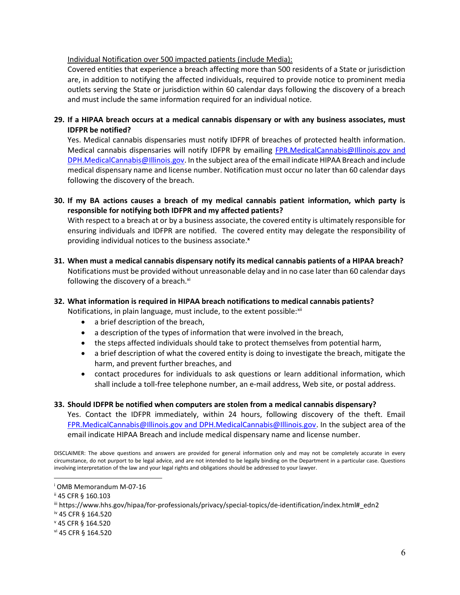#### Individual Notification over 500 impacted patients (include Media):

Covered entities that experience a breach affecting more than 500 residents of a State or jurisdiction are, in addition to notifying the affected individuals, required to provide notice to prominent media outlets serving the State or jurisdiction within 60 calendar days following the discovery of a breach and must include the same information required for an individual notice.

### 29. If a HIPAA breach occurs at a medical cannabis dispensary or with any business associates, must IDFPR be notified?

Yes. Medical cannabis dispensaries must notify IDFPR of breaches of protected health information. Medical cannabis dispensaries will notify IDFPR by emailing FPR.MedicalCannabis@Illinois.gov and DPH.MedicalCannabis@Illinois.gov. In the subject area of the email indicate HIPAA Breach and include medical dispensary name and license number. Notification must occur no later than 60 calendar days following the discovery of the breach.

30. If my BA actions causes a breach of my medical cannabis patient information, which party is responsible for notifying both IDFPR and my affected patients?

With respect to a breach at or by a business associate, the covered entity is ultimately responsible for ensuring individuals and IDFPR are notified. The covered entity may delegate the responsibility of providing individual notices to the business associate.<sup>x</sup>

31. When must a medical cannabis dispensary notify its medical cannabis patients of a HIPAA breach? Notifications must be provided without unreasonable delay and in no case later than 60 calendar days following the discovery of a breach. $x_i$ 

# 32. What information is required in HIPAA breach notifications to medical cannabis patients?

Notifications, in plain language, must include, to the extent possible:<sup>xii</sup>

- a brief description of the breach,
- a description of the types of information that were involved in the breach,
- the steps affected individuals should take to protect themselves from potential harm,
- a brief description of what the covered entity is doing to investigate the breach, mitigate the harm, and prevent further breaches, and
- contact procedures for individuals to ask questions or learn additional information, which shall include a toll-free telephone number, an e-mail address, Web site, or postal address.
- 33. Should IDFPR be notified when computers are stolen from a medical cannabis dispensary?

Yes. Contact the IDFPR immediately, within 24 hours, following discovery of the theft. Email FPR.MedicalCannabis@Illinois.gov and DPH.MedicalCannabis@Illinois.gov. In the subject area of the email indicate HIPAA Breach and include medical dispensary name and license number.

DISCLAIMER: The above questions and answers are provided for general information only and may not be completely accurate in every circumstance, do not purport to be legal advice, and are not intended to be legally binding on the Department in a particular case. Questions involving interpretation of the law and your legal rights and obligations should be addressed to your lawyer.

iv 45 CFR § 164.520

i OMB Memorandum M-07-16

ii 45 CFR § 160.103

iii https://www.hhs.gov/hipaa/for-professionals/privacy/special-topics/de-identification/index.html#\_edn2

v 45 CFR § 164.520

vi 45 CFR § 164.520